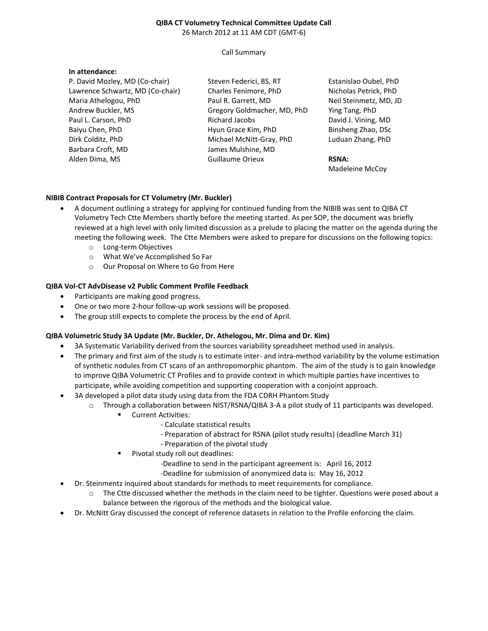#### **QIBA CT Volumetry Technical Committee Update Call** 26 March 2012 at 11 AM CDT (GMT-6)

#### Call Summary

### **In attendance:**

P. David Mozley, MD (Co-chair) Lawrence Schwartz, MD (Co-chair) Maria Athelogou, PhD Andrew Buckler, MS Paul L. Carson, PhD Baiyu Chen, PhD Dirk Colditz, PhD Barbara Croft, MD Alden Dima, MS

Steven Federici, BS, RT Charles Fenimore, PhD Paul R. Garrett, MD Gregory Goldmacher, MD, PhD Richard Jacobs Hyun Grace Kim, PhD Michael McNitt-Gray, PhD James Mulshine, MD Guillaume Orieux

Estanislao Oubel, PhD Nicholas Petrick, PhD Neil Steinmetz, MD, JD Ying Tang, PhD David J. Vining, MD Binsheng Zhao, DSc Luduan Zhang, PhD

**RSNA:** Madeleine McCoy

### **NIBIB Contract Proposals for CT Volumetry (Mr. Buckler)**

- A document outlining a strategy for applying for continued funding from the NIBIB was sent to QIBA CT Volumetry Tech Ctte Members shortly before the meeting started. As per SOP, the document was briefly reviewed at a high level with only limited discussion as a prelude to placing the matter on the agenda during the meeting the following week. The Ctte Members were asked to prepare for discussions on the following topics:
	- o Long-term Objectives
	- o What We've Accomplished So Far
	- o Our Proposal on Where to Go from Here

### **QIBA Vol-CT AdvDisease v2 Public Comment Profile Feedback**

- Participants are making good progress.
- One or two more 2-hour follow-up work sessions will be proposed.
- The group still expects to complete the process by the end of April.

#### **QIBA Volumetric Study 3A Update (Mr. Buckler, Dr. Athelogou, Mr. Dima and Dr. Kim)**

- 3A Systematic Variability derived from the sources variability spreadsheet method used in analysis.
- The primary and first aim of the study is to estimate inter- and intra-method variability by the volume estimation of synthetic nodules from CT scans of an anthropomorphic phantom. The aim of the study is to gain knowledge to improve QIBA Volumetric CT Profiles and to provide context in which multiple parties have incentives to participate, while avoiding competition and supporting cooperation with a conjoint approach.
- 3A developed a pilot data study using data from the FDA CDRH Phantom Study
	- o Through a collaboration between NIST/RSNA/QIBA 3-A a pilot study of 11 participants was developed.
		- **Current Activities:** 
			- Calculate statistical results
			- Preparation of abstract for RSNA (pilot study results) (deadline March 31)
			- Preparation of the pivotal study
		- Pivotal study roll out deadlines:
			- -Deadline to send in the participant agreement is: April 16, 2012
			- -Deadline for submission of anonymized data is: May 16, 2012
- Dr. Steinmentz inquired about standards for methods to meet requirements for compliance.
	- o The Ctte discussed whether the methods in the claim need to be tighter. Questions were posed about a balance between the rigorous of the methods and the biological value.
- Dr. McNitt Gray discussed the concept of reference datasets in relation to the Profile enforcing the claim.